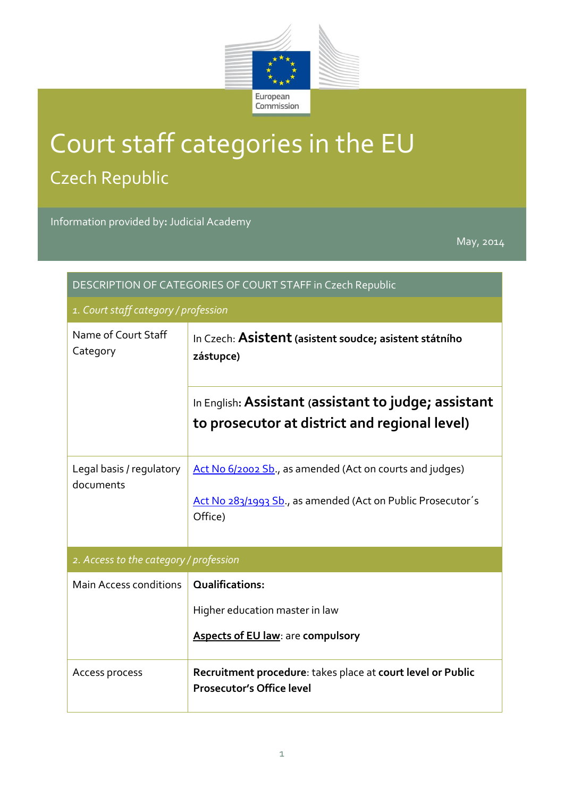

## Court staff categories in the EU Czech Republic

Information provided by**:** Judicial Academy

May, 2014

| DESCRIPTION OF CATEGORIES OF COURT STAFF in Czech Republic |                                                                                                                                    |  |  |
|------------------------------------------------------------|------------------------------------------------------------------------------------------------------------------------------------|--|--|
| 1. Court staff category / profession                       |                                                                                                                                    |  |  |
| Name of Court Staff<br>Category                            | In Czech: Asistent (asistent soudce; asistent státního<br>zástupce)                                                                |  |  |
|                                                            | In English: Assistant (assistant to judge; assistant<br>to prosecutor at district and regional level)                              |  |  |
| Legal basis / regulatory<br>documents                      | Act No 6/2002 Sb., as amended (Act on courts and judges)<br>Act No 283/1993 Sb., as amended (Act on Public Prosecutor's<br>Office) |  |  |
| 2. Access to the category / profession                     |                                                                                                                                    |  |  |
| Main Access conditions                                     | <b>Qualifications:</b><br>Higher education master in law<br><b>Aspects of EU law: are compulsory</b>                               |  |  |
| Access process                                             | Recruitment procedure: takes place at court level or Public<br><b>Prosecutor's Office level</b>                                    |  |  |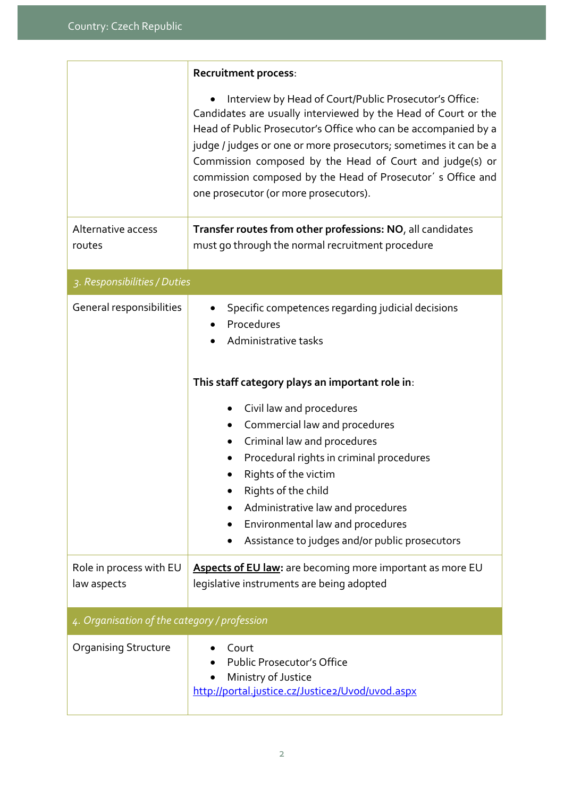|                                              | <b>Recruitment process:</b>                                                                                                                                                                                                                                                                                                                                                                                                                                                            |  |  |
|----------------------------------------------|----------------------------------------------------------------------------------------------------------------------------------------------------------------------------------------------------------------------------------------------------------------------------------------------------------------------------------------------------------------------------------------------------------------------------------------------------------------------------------------|--|--|
|                                              | Interview by Head of Court/Public Prosecutor's Office:<br>Candidates are usually interviewed by the Head of Court or the<br>Head of Public Prosecutor's Office who can be accompanied by a<br>judge / judges or one or more prosecutors; sometimes it can be a<br>Commission composed by the Head of Court and judge(s) or<br>commission composed by the Head of Prosecutor's Office and<br>one prosecutor (or more prosecutors).                                                      |  |  |
| Alternative access<br>routes                 | Transfer routes from other professions: NO, all candidates<br>must go through the normal recruitment procedure                                                                                                                                                                                                                                                                                                                                                                         |  |  |
| 3. Responsibilities / Duties                 |                                                                                                                                                                                                                                                                                                                                                                                                                                                                                        |  |  |
| General responsibilities                     | Specific competences regarding judicial decisions<br>Procedures<br>Administrative tasks<br>This staff category plays an important role in:<br>Civil law and procedures<br>Commercial law and procedures<br>$\bullet$<br>Criminal law and procedures<br>$\bullet$<br>Procedural rights in criminal procedures<br>Rights of the victim<br>Rights of the child<br>Administrative law and procedures<br>Environmental law and procedures<br>Assistance to judges and/or public prosecutors |  |  |
| Role in process with EU<br>law aspects       | Aspects of EU law: are becoming more important as more EU<br>legislative instruments are being adopted                                                                                                                                                                                                                                                                                                                                                                                 |  |  |
| 4. Organisation of the category / profession |                                                                                                                                                                                                                                                                                                                                                                                                                                                                                        |  |  |
| <b>Organising Structure</b>                  | Court<br><b>Public Prosecutor's Office</b><br>Ministry of Justice<br>http://portal.justice.cz/Justice2/Uvod/uvod.aspx                                                                                                                                                                                                                                                                                                                                                                  |  |  |